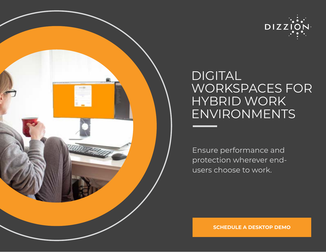



# DIGITAL WORKSPACES FOR HYBRID WORK ENVIRONMENTS

Ensure performance and protection wherever endusers choose to work.

**[SCHEDULE A DESKTOP DEMO](https://www.dizzion.com/request-a-demo/)**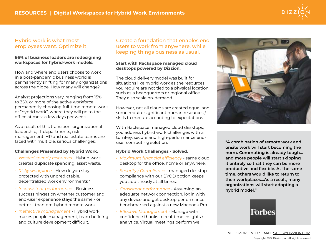## Hybrid work is what most employees want. Optimize it.

#### **66% of business leaders are redesigning workspaces for hybrid-work models.**

How and where end users choose to work in a post-pandemic business world is permanently shifting for many organizations across the globe. How many will change?

Analyst projections vary, ranging from 15% to 35% or more of the active workforce permanently choosing full-time remote work or "hybrid work", where they will go to the office at most a few days per week.

As a result of this transition, organizational leadership, IT departments, risk management, HR and real estate teams are faced with multiple, serious challenges.

#### **Challenges Presented by Hybrid Work.**

- *• Wasted spend / resources* Hybrid work creates duplicate spending, asset waste.
- *• Risky workplace* How do you stay protected with unpredictable, decentralized work environments?
- *• Inconsistent performance* Business success hinges on whether customer and end-user experience stays the same - or better - than pre-hybrid remote work.
- *• Ineffective management* Hybrid work makes people management, team building and culture development difficult.

### Create a foundation that enables end users to work from anywhere, while keeping things business as usual.

#### **Start with Rackspace managed cloud desktops powered by Dizzion.**

The cloud delivery model was built for situations like hybrid work as the resources you require are not tied to a physical location such as a headquarters or regional office. They also scale on-demand.

However, not all clouds are created equal and some require significant human resources / skills to execute according to expectations.

With Rackspace managed cloud desktops, you address hybrid work challenges with a turnkey, secure and high-performance enduser computing solution.

#### **Hybrid Work Challenges - Solved.**

- *• Maximum financial efficiency* same cloud desktop for the office, home or anywhere.
- *• Security / Compliance* managed desktop compliance with our BYOD option keeps you audit-ready at all times.
- *• Consistent performance* Assuming an adequate network connection, login with any device and get desktop performance benchmarked against a new Macbook Pro.
- *• Effective Management* Manage with confidence thanks to real-time insights / analytics. Virtual meetings perform well.



**"A combination of remote work and onsite work will start becoming the norm. Commuting is already tough... and more people will start skipping it entirely so that they can be more productive and flexible. At the same time, others would like to return to their workplaces...As a result, many organizations will start adopting a hybrid model."**



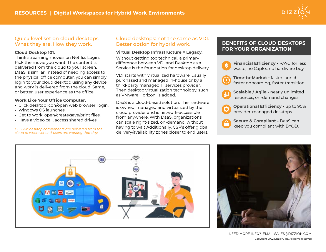

## Quick level set on cloud desktops. What they are. How they work.

#### **Cloud Desktop 101.**

Think streaming movies on Netflix. Login. Pick the movie you want. The content is delivered from the cloud to your screen. DaaS is similar. Instead of needing access to the physical office computer, you can simply login to your cloud desktop using any device and work is delivered from the cloud. Same, or better, user experience as the office.

#### **Work Like Your Office Computer.**

- Click desktop icon/open web browser, login.
- Windows OS launches.
- Get to work: open/create/save/print files.
- Have a video call, access shared drives.

*BELOW: desktop components are delivered from the cloud to wherever end-users are working that day.*

# Cloud desktops: not the same as VDI. Better option for hybrid work.

#### **Virtual Desktop Infrastructure = Legacy.**

Without getting too technical, a primary difference between VDI and Desktop as a Service is the foundation for desktop delivery.

VDI starts with virtualized hardware, usually purchased and managed in-house or by a third-party managed IT services provider. Then desktop virtualization technology, such as VMware Horizon, is added.

DaaS is a cloud-based solution. The hardware is owned, managed and virtualized by the cloud provider and is network-accessible from anywhere. With DaaS, organizations can scale right-sized, on-demand, without having to wait Additionally, CSP's offer global delivery/availability zones closer to end users.

# **BENEFITS OF CLOUD DESKTOPS FOR YOUR ORGANIZATION**







Copyright 2022 Dizzion, Inc. All rights reserved. NEED MORE INFO? EMAIL SALES[@DIZZION.COM.](mailto:SALES%40DIZZION%3ECOM?subject=)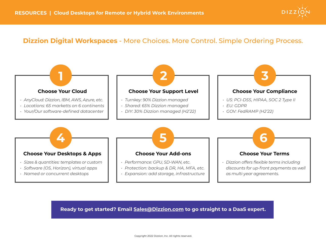

# **Dizzion Digital Workspaces** - More Choices. More Control. Simple Ordering Process.



# **Ready to get started? Email [Sales@Dizzion.com](mailto:Sales%40Dizzion.com?subject=) to go straight to a DaaS expert.**